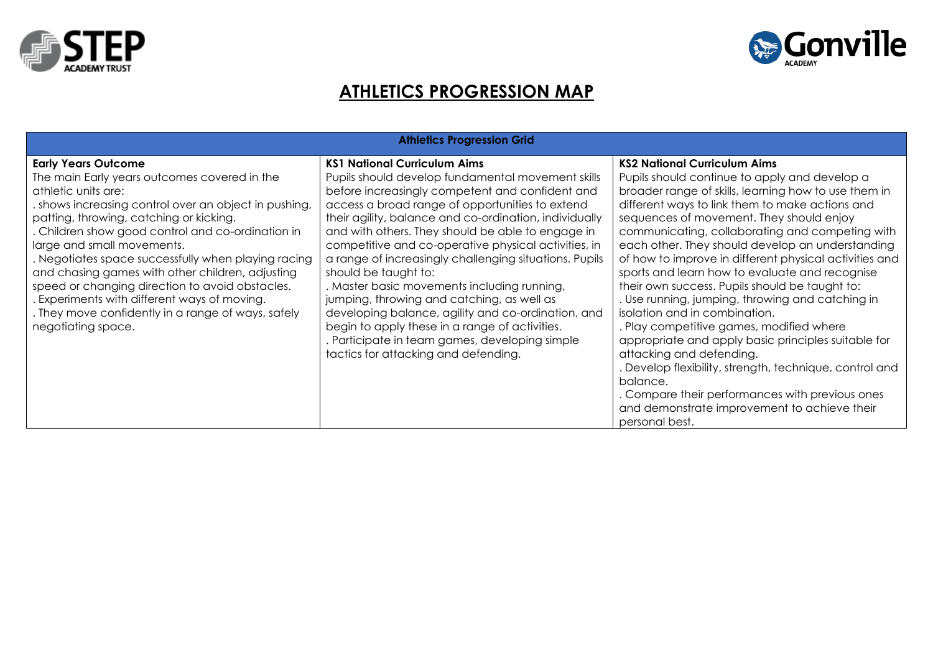



## **ATHLETICS PROGRESSION MAP**

| <b>Athletics Progression Grid</b>                                                                                                                                                                                                                                                                                                                                                                                                                                                                                                                                                |                                                                                                                                                                                                                                                                                                                                                                                                                                                                                                                                                                                                                                                                                                                                                        |                                                                                                                                                                                                                                                                                                                                                                                                                                                                                                                                                                                                                                                                                                                                                                                                                                                                                                                                  |  |  |  |  |
|----------------------------------------------------------------------------------------------------------------------------------------------------------------------------------------------------------------------------------------------------------------------------------------------------------------------------------------------------------------------------------------------------------------------------------------------------------------------------------------------------------------------------------------------------------------------------------|--------------------------------------------------------------------------------------------------------------------------------------------------------------------------------------------------------------------------------------------------------------------------------------------------------------------------------------------------------------------------------------------------------------------------------------------------------------------------------------------------------------------------------------------------------------------------------------------------------------------------------------------------------------------------------------------------------------------------------------------------------|----------------------------------------------------------------------------------------------------------------------------------------------------------------------------------------------------------------------------------------------------------------------------------------------------------------------------------------------------------------------------------------------------------------------------------------------------------------------------------------------------------------------------------------------------------------------------------------------------------------------------------------------------------------------------------------------------------------------------------------------------------------------------------------------------------------------------------------------------------------------------------------------------------------------------------|--|--|--|--|
| <b>Early Years Outcome</b><br>The main Early years outcomes covered in the<br>athletic units are:<br>shows increasing control over an object in pushing,<br>patting, throwing, catching or kicking.<br>. Children show good control and co-ordination in<br>large and small movements.<br>. Negotiates space successfully when playing racing<br>and chasing games with other children, adjusting<br>speed or changing direction to avoid obstacles.<br>. Experiments with different ways of moving.<br>. They move confidently in a range of ways, safely<br>negotiating space. | <b>KS1 National Curriculum Aims</b><br>Pupils should develop fundamental movement skills<br>before increasingly competent and confident and<br>access a broad range of opportunities to extend<br>their agility, balance and co-ordination, individually<br>and with others. They should be able to engage in<br>competitive and co-operative physical activities, in<br>a range of increasingly challenging situations. Pupils<br>should be taught to:<br>. Master basic movements including running,<br>jumping, throwing and catching, as well as<br>developing balance, agility and co-ordination, and<br>begin to apply these in a range of activities.<br>. Participate in team games, developing simple<br>tactics for attacking and defending. | <b>KS2 National Curriculum Aims</b><br>Pupils should continue to apply and develop a<br>broader range of skills, learning how to use them in<br>different ways to link them to make actions and<br>sequences of movement. They should enjoy<br>communicating, collaborating and competing with<br>each other. They should develop an understanding<br>of how to improve in different physical activities and<br>sports and learn how to evaluate and recognise<br>their own success. Pupils should be taught to:<br>. Use running, jumping, throwing and catching in<br>isolation and in combination.<br>. Play competitive games, modified where<br>appropriate and apply basic principles suitable for<br>attacking and defending.<br>. Develop flexibility, strength, technique, control and<br>balance.<br>. Compare their performances with previous ones<br>and demonstrate improvement to achieve their<br>personal best. |  |  |  |  |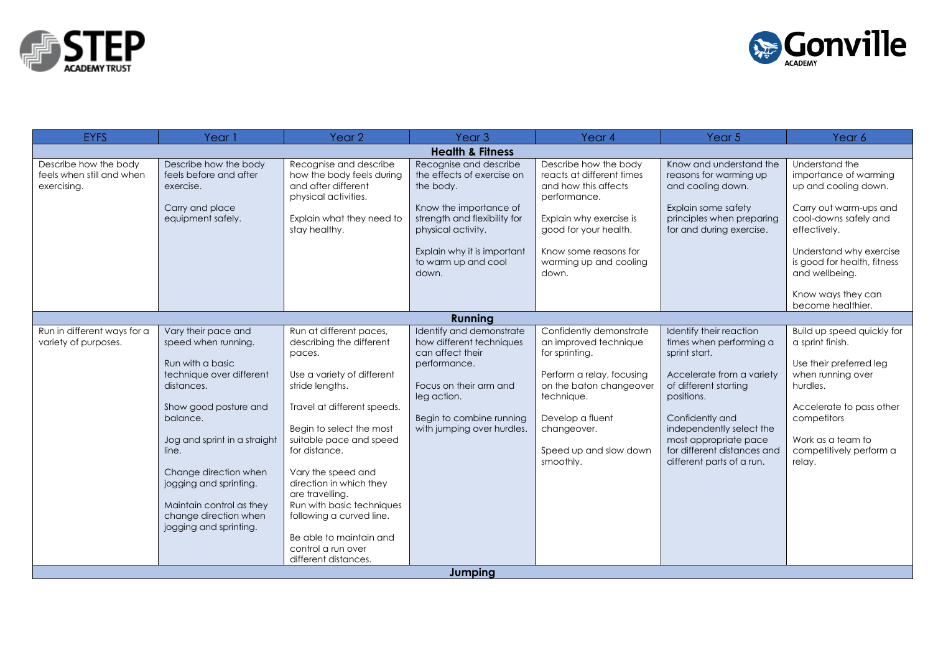



| <b>EYFS</b>                                                       | Year 1                                                                                                                                                                                                                                                                                                                   | Year <sub>2</sub>                                                                                                                                                                                                                                                                                                                                                                                                           | Year <sub>3</sub>                                                                                                                                                                                       | Year 4                                                                                                                                                                                                             | Year 5                                                                                                                                                                                                                                                                      | Year 6                                                                                                                                                                                                          |
|-------------------------------------------------------------------|--------------------------------------------------------------------------------------------------------------------------------------------------------------------------------------------------------------------------------------------------------------------------------------------------------------------------|-----------------------------------------------------------------------------------------------------------------------------------------------------------------------------------------------------------------------------------------------------------------------------------------------------------------------------------------------------------------------------------------------------------------------------|---------------------------------------------------------------------------------------------------------------------------------------------------------------------------------------------------------|--------------------------------------------------------------------------------------------------------------------------------------------------------------------------------------------------------------------|-----------------------------------------------------------------------------------------------------------------------------------------------------------------------------------------------------------------------------------------------------------------------------|-----------------------------------------------------------------------------------------------------------------------------------------------------------------------------------------------------------------|
| <b>Health &amp; Fitness</b>                                       |                                                                                                                                                                                                                                                                                                                          |                                                                                                                                                                                                                                                                                                                                                                                                                             |                                                                                                                                                                                                         |                                                                                                                                                                                                                    |                                                                                                                                                                                                                                                                             |                                                                                                                                                                                                                 |
| Describe how the body<br>feels when still and when<br>exercising. | Describe how the body<br>feels before and after<br>exercise.<br>Carry and place<br>equipment safely.                                                                                                                                                                                                                     | Recognise and describe<br>how the body feels during<br>and after different<br>physical activities.<br>Explain what they need to<br>stay healthy.                                                                                                                                                                                                                                                                            | Recognise and describe<br>the effects of exercise on<br>the body.<br>Know the importance of<br>strength and flexibility for<br>physical activity.<br>Explain why it is important<br>to warm up and cool | Describe how the body<br>reacts at different times<br>and how this affects<br>performance.<br>Explain why exercise is<br>good for your health.<br>Know some reasons for<br>warming up and cooling                  | Know and understand the<br>reasons for warming up<br>and cooling down.<br>Explain some safety<br>principles when preparing<br>for and during exercise.                                                                                                                      | Understand the<br>importance of warming<br>up and cooling down.<br>Carry out warm-ups and<br>cool-downs safely and<br>effectively.<br>Understand why exercise<br>is good for health, fitness                    |
|                                                                   |                                                                                                                                                                                                                                                                                                                          |                                                                                                                                                                                                                                                                                                                                                                                                                             | down.                                                                                                                                                                                                   | down.                                                                                                                                                                                                              |                                                                                                                                                                                                                                                                             | and wellbeing.<br>Know ways they can<br>become healthier.                                                                                                                                                       |
|                                                                   |                                                                                                                                                                                                                                                                                                                          |                                                                                                                                                                                                                                                                                                                                                                                                                             | <b>Running</b>                                                                                                                                                                                          |                                                                                                                                                                                                                    |                                                                                                                                                                                                                                                                             |                                                                                                                                                                                                                 |
| Run in different ways for a<br>variety of purposes.               | Vary their pace and<br>speed when running.<br>Run with a basic<br>technique over different<br>distances.<br>Show good posture and<br>balance.<br>Jog and sprint in a straight<br>line.<br>Change direction when<br>jogging and sprinting.<br>Maintain control as they<br>change direction when<br>jogging and sprinting. | Run at different paces,<br>describing the different<br>paces.<br>Use a variety of different<br>stride lengths.<br>Travel at different speeds.<br>Begin to select the most<br>suitable pace and speed<br>for distance.<br>Vary the speed and<br>direction in which they<br>are travelling.<br>Run with basic techniques<br>following a curved line.<br>Be able to maintain and<br>control a run over<br>different distances. | Identify and demonstrate<br>how different techniques<br>can affect their<br>performance.<br>Focus on their arm and<br>leg action.<br>Begin to combine running<br>with jumping over hurdles.             | Confidently demonstrate<br>an improved technique<br>for sprinting.<br>Perform a relay, focusing<br>on the baton changeover<br>technique.<br>Develop a fluent<br>changeover.<br>Speed up and slow down<br>smoothly. | Identify their reaction<br>times when performing a<br>sprint start.<br>Accelerate from a variety<br>of different starting<br>positions.<br>Confidently and<br>independently select the<br>most appropriate pace<br>for different distances and<br>different parts of a run. | Build up speed quickly for<br>a sprint finish.<br>Use their preferred leg<br>when running over<br>hurdles.<br>Accelerate to pass other<br>competitors<br>Work as a team to<br>competitively perform a<br>relay. |
| Jumping                                                           |                                                                                                                                                                                                                                                                                                                          |                                                                                                                                                                                                                                                                                                                                                                                                                             |                                                                                                                                                                                                         |                                                                                                                                                                                                                    |                                                                                                                                                                                                                                                                             |                                                                                                                                                                                                                 |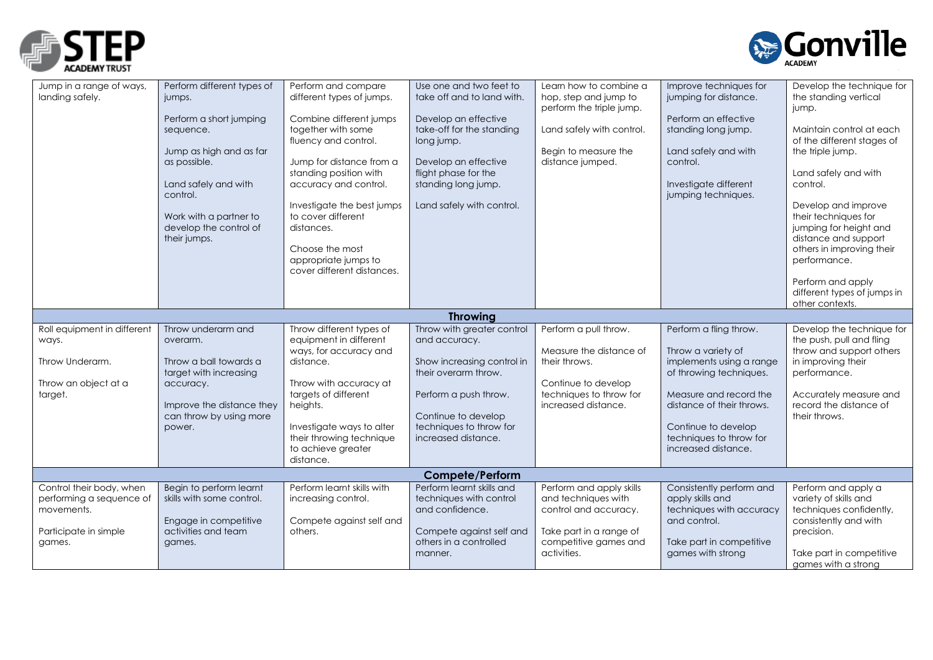



| standing position with<br>flight phase for the<br>Land safely and with<br>accuracy and control.<br>standing long jump.<br>Investigate different<br>jumping techniques.<br>control.<br>Investigate the best jumps<br>Land safely with control.<br>to cover different<br>Work with a partner to<br>develop the control of<br>distances.                                                                                                                                                                                                                                                                                                                                                                                                                                                                                                                      | Land safely and with<br>control.<br>Develop and improve<br>their techniques for<br>jumping for height and                                                                                    |  |  |  |  |
|------------------------------------------------------------------------------------------------------------------------------------------------------------------------------------------------------------------------------------------------------------------------------------------------------------------------------------------------------------------------------------------------------------------------------------------------------------------------------------------------------------------------------------------------------------------------------------------------------------------------------------------------------------------------------------------------------------------------------------------------------------------------------------------------------------------------------------------------------------|----------------------------------------------------------------------------------------------------------------------------------------------------------------------------------------------|--|--|--|--|
| their jumps.<br>Choose the most<br>appropriate jumps to<br>cover different distances.                                                                                                                                                                                                                                                                                                                                                                                                                                                                                                                                                                                                                                                                                                                                                                      | distance and support<br>others in improving their<br>performance.<br>Perform and apply<br>different types of jumps in<br>other contexts.                                                     |  |  |  |  |
| <b>Throwing</b>                                                                                                                                                                                                                                                                                                                                                                                                                                                                                                                                                                                                                                                                                                                                                                                                                                            |                                                                                                                                                                                              |  |  |  |  |
| Throw with greater control<br>Roll equipment in different<br>Throw different types of<br>Perform a pull throw.<br>Perform a fling throw.<br>Throw underarm and<br>equipment in different<br>and accuracy.<br>ways.<br>overarm.<br>ways, for accuracy and<br>Measure the distance of<br>Throw a variety of<br>implements using a range<br>Throw Underarm.<br>Throw a ball towards a<br>distance.<br>Show increasing control in<br>their throws.<br>their overarm throw.<br>of throwing techniques.<br>target with increasing<br>Throw an object at a<br>Throw with accuracy at<br>Continue to develop<br>accuracy.<br>techniques to throw for<br>targets of different<br>Measure and record the<br>target.<br>Perform a push throw.<br>Improve the distance they<br>increased distance.<br>distance of their throws.<br>heights.<br>can throw by using more | Develop the technique for<br>the push, pull and fling<br>throw and support others<br>in improving their<br>performance.<br>Accurately measure and<br>record the distance of<br>their throws. |  |  |  |  |
| Continue to develop<br>techniques to throw for<br>Investigate ways to alter<br>Continue to develop<br>power.<br>their throwing technique<br>increased distance.<br>techniques to throw for<br>to achieve greater<br>increased distance.<br>distance.                                                                                                                                                                                                                                                                                                                                                                                                                                                                                                                                                                                                       |                                                                                                                                                                                              |  |  |  |  |
| <b>Compete/Perform</b>                                                                                                                                                                                                                                                                                                                                                                                                                                                                                                                                                                                                                                                                                                                                                                                                                                     |                                                                                                                                                                                              |  |  |  |  |
| Perform learnt skills with<br>Perform learnt skills and<br>Perform and apply skills<br>Consistently perform and<br>Control their body, when<br>Begin to perform learnt<br>skills with some control.<br>techniques with control<br>and techniques with<br>performing a sequence of<br>increasing control.<br>apply skills and<br>techniques with accuracy<br>and confidence.<br>movements.<br>control and accuracy.<br>Engage in competitive<br>Compete against self and<br>and control.<br>activities and team<br>Take part in a range of<br>Participate in simple<br>others.<br>Compete against self and<br>others in a controlled<br>competitive games and<br>Take part in competitive<br>games.<br>games.<br>activities.<br>games with strong<br>manner.                                                                                                | Perform and apply a<br>variety of skills and<br>techniques confidently,<br>consistently and with<br>precision.<br>Take part in competitive<br>games with a strong                            |  |  |  |  |